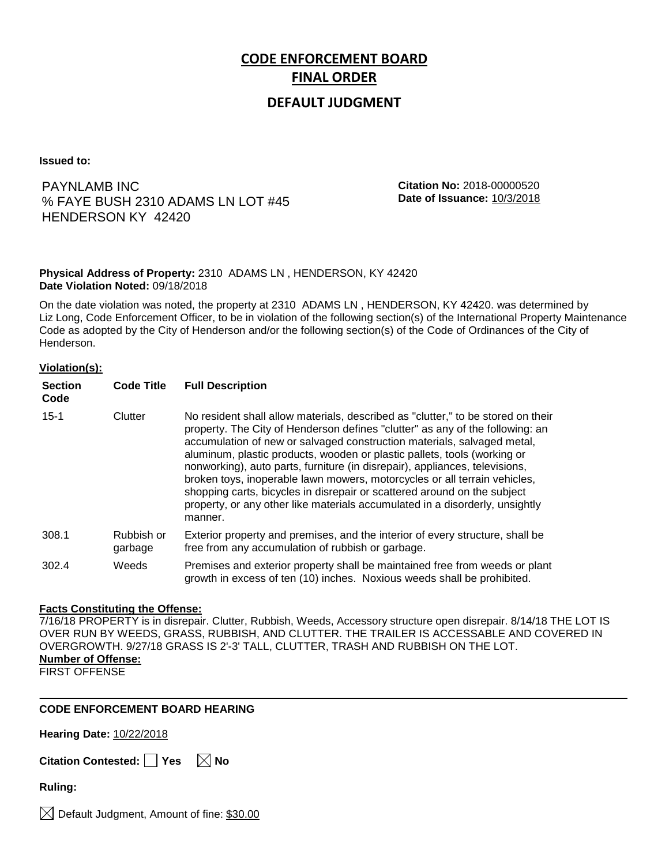# **CODE ENFORCEMENT BOARD FINAL ORDER**

## **DEFAULT JUDGMENT**

**Issued to:**

PAYNLAMB INC % FAYE BUSH 2310 ADAMS LN LOT #45 HENDERSON KY 42420

**Citation No:** 2018-00000520 **Date of Issuance:** 10/3/2018

### **Physical Address of Property:** 2310 ADAMS LN , HENDERSON, KY 42420 **Date Violation Noted:** 09/18/2018

On the date violation was noted, the property at 2310 ADAMS LN , HENDERSON, KY 42420. was determined by Liz Long, Code Enforcement Officer, to be in violation of the following section(s) of the International Property Maintenance Code as adopted by the City of Henderson and/or the following section(s) of the Code of Ordinances of the City of Henderson.

#### **Violation(s):**

| <b>Section</b><br>Code | <b>Code Title</b>     | <b>Full Description</b>                                                                                                                                                                                                                                                                                                                                                                                                                                                                                                                                                                                                                                     |
|------------------------|-----------------------|-------------------------------------------------------------------------------------------------------------------------------------------------------------------------------------------------------------------------------------------------------------------------------------------------------------------------------------------------------------------------------------------------------------------------------------------------------------------------------------------------------------------------------------------------------------------------------------------------------------------------------------------------------------|
| $15 - 1$               | Clutter               | No resident shall allow materials, described as "clutter," to be stored on their<br>property. The City of Henderson defines "clutter" as any of the following: an<br>accumulation of new or salvaged construction materials, salvaged metal,<br>aluminum, plastic products, wooden or plastic pallets, tools (working or<br>nonworking), auto parts, furniture (in disrepair), appliances, televisions,<br>broken toys, inoperable lawn mowers, motorcycles or all terrain vehicles,<br>shopping carts, bicycles in disrepair or scattered around on the subject<br>property, or any other like materials accumulated in a disorderly, unsightly<br>manner. |
| 308.1                  | Rubbish or<br>garbage | Exterior property and premises, and the interior of every structure, shall be<br>free from any accumulation of rubbish or garbage.                                                                                                                                                                                                                                                                                                                                                                                                                                                                                                                          |
| 302.4                  | Weeds                 | Premises and exterior property shall be maintained free from weeds or plant<br>growth in excess of ten (10) inches. Noxious weeds shall be prohibited.                                                                                                                                                                                                                                                                                                                                                                                                                                                                                                      |

#### **Facts Constituting the Offense:**

7/16/18 PROPERTY is in disrepair. Clutter, Rubbish, Weeds, Accessory structure open disrepair. 8/14/18 THE LOT IS OVER RUN BY WEEDS, GRASS, RUBBISH, AND CLUTTER. THE TRAILER IS ACCESSABLE AND COVERED IN OVERGROWTH. 9/27/18 GRASS IS 2'-3' TALL, CLUTTER, TRASH AND RUBBISH ON THE LOT. **Number of Offense:** FIRST OFFENSE

#### **CODE ENFORCEMENT BOARD HEARING**

**Hearing Date:** 10/22/2018

**Citation Contested:** Yes  $\boxtimes$  No

**Ruling:**

 $\boxtimes$  Default Judgment, Amount of fine: \$30.00